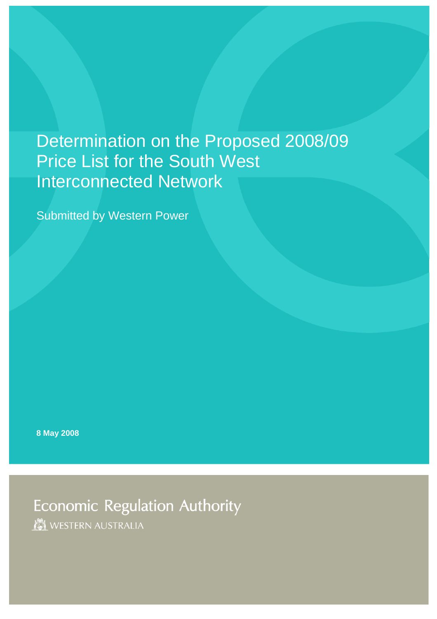# Determination on the Proposed 2008/09 Price List for the South West Interconnected Network

Submitted by Western Power

**8 May 2008** 

**Economic Regulation Authority MEL WESTERN AUSTRALIA**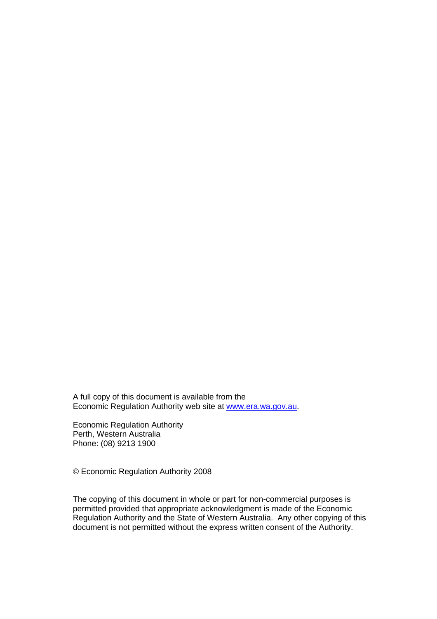A full copy of this document is available from the Economic Regulation Authority web site at [www.era.wa.gov.au](http://www.era.wa.gov.au/).

Economic Regulation Authority Perth, Western Australia Phone: (08) 9213 1900

© Economic Regulation Authority 2008

The copying of this document in whole or part for non-commercial purposes is permitted provided that appropriate acknowledgment is made of the Economic Regulation Authority and the State of Western Australia. Any other copying of this document is not permitted without the express written consent of the Authority.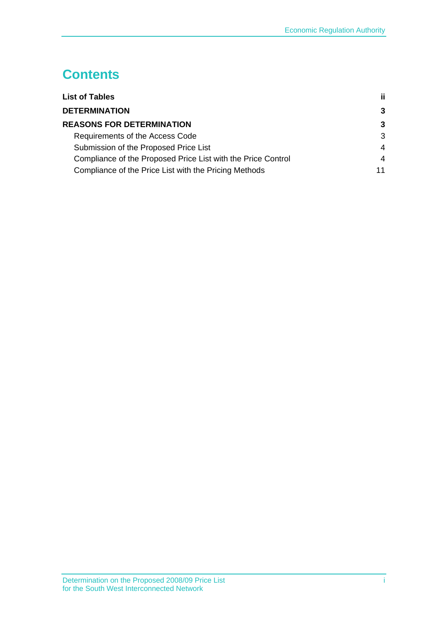## **Contents**

| <b>List of Tables</b>                                        | ji. |
|--------------------------------------------------------------|-----|
| <b>DETERMINATION</b>                                         | 3   |
| <b>REASONS FOR DETERMINATION</b>                             | 3   |
| Requirements of the Access Code                              | 3   |
| Submission of the Proposed Price List                        | 4   |
| Compliance of the Proposed Price List with the Price Control | 4   |
| Compliance of the Price List with the Pricing Methods        | 11  |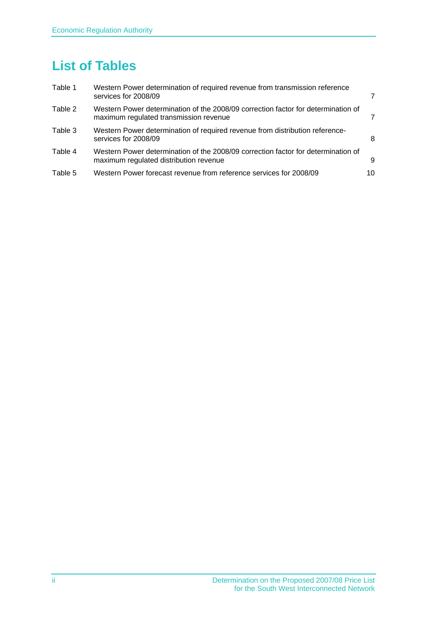## <span id="page-3-0"></span>**List of Tables**

| Table 1 | Western Power determination of required revenue from transmission reference<br>services for 2008/09                         |    |
|---------|-----------------------------------------------------------------------------------------------------------------------------|----|
| Table 2 | Western Power determination of the 2008/09 correction factor for determination of<br>maximum regulated transmission revenue |    |
| Table 3 | Western Power determination of required revenue from distribution reference-<br>services for 2008/09                        | 8  |
| Table 4 | Western Power determination of the 2008/09 correction factor for determination of<br>maximum regulated distribution revenue | 9  |
| Table 5 | Western Power forecast revenue from reference services for 2008/09                                                          | 10 |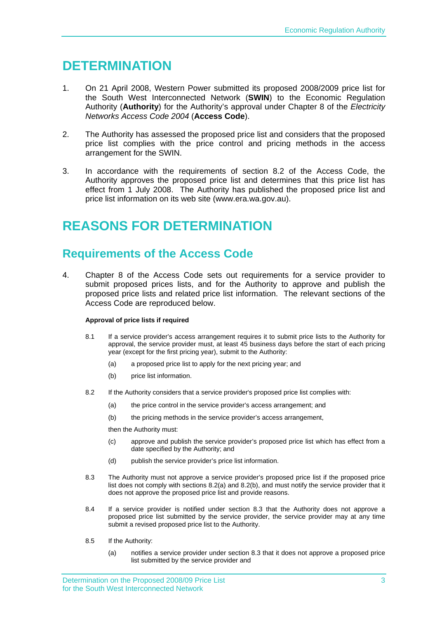### <span id="page-4-0"></span>**DETERMINATION**

- 1. On 21 April 2008, Western Power submitted its proposed 2008/2009 price list for the South West Interconnected Network (**SWIN**) to the Economic Regulation Authority (**Authority**) for the Authority's approval under Chapter 8 of the *Electricity Networks Access Code 2004* (**Access Code**).
- 2. The Authority has assessed the proposed price list and considers that the proposed price list complies with the price control and pricing methods in the access arrangement for the SWIN.
- 3. In accordance with the requirements of section 8.2 of the Access Code, the Authority approves the proposed price list and determines that this price list has effect from 1 July 2008. The Authority has published the proposed price list and price list information on its web site (www.era.wa.gov.au).

## **REASONS FOR DETERMINATION**

### **Requirements of the Access Code**

4. Chapter 8 of the Access Code sets out requirements for a service provider to submit proposed prices lists, and for the Authority to approve and publish the proposed price lists and related price list information. The relevant sections of the Access Code are reproduced below.

### **Approval of price lists if required**

- 8.1 If a service provider's access arrangement requires it to submit price lists to the Authority for approval, the service provider must, at least 45 business days before the start of each pricing year (except for the first pricing year), submit to the Authority:
	- (a) a proposed price list to apply for the next pricing year; and
	- (b) price list information.
- 8.2 If the Authority considers that a service provider's proposed price list complies with:
	- (a) the price control in the service provider's access arrangement; and
	- (b) the pricing methods in the service provider's access arrangement,

then the Authority must:

- (c) approve and publish the service provider's proposed price list which has effect from a date specified by the Authority; and
- (d) publish the service provider's price list information.
- 8.3 The Authority must not approve a service provider's proposed price list if the proposed price list does not comply with sections 8.2(a) and 8.2(b), and must notify the service provider that it does not approve the proposed price list and provide reasons.
- 8.4 If a service provider is notified under section 8.3 that the Authority does not approve a proposed price list submitted by the service provider, the service provider may at any time submit a revised proposed price list to the Authority.
- 8.5 If the Authority:
	- (a) notifies a service provider under section 8.3 that it does not approve a proposed price list submitted by the service provider and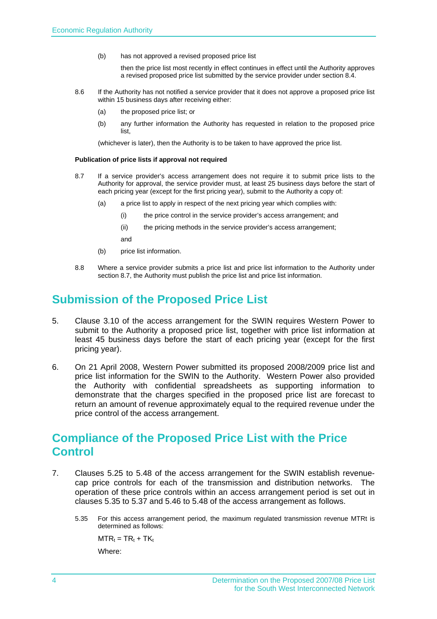<span id="page-5-0"></span>(b) has not approved a revised proposed price list

 then the price list most recently in effect continues in effect until the Authority approves a revised proposed price list submitted by the service provider under section 8.4.

- 8.6 If the Authority has not notified a service provider that it does not approve a proposed price list within 15 business days after receiving either:
	- (a) the proposed price list; or
	- (b) any further information the Authority has requested in relation to the proposed price list,

(whichever is later), then the Authority is to be taken to have approved the price list.

#### **Publication of price lists if approval not required**

- 8.7 If a service provider's access arrangement does not require it to submit price lists to the Authority for approval, the service provider must, at least 25 business days before the start of each pricing year (except for the first pricing year), submit to the Authority a copy of:
	- (a) a price list to apply in respect of the next pricing year which complies with:
		- (i) the price control in the service provider's access arrangement; and
		- (ii) the pricing methods in the service provider's access arrangement;

and

- (b) price list information.
- 8.8 Where a service provider submits a price list and price list information to the Authority under section 8.7, the Authority must publish the price list and price list information.

### **Submission of the Proposed Price List**

- 5. Clause 3.10 of the access arrangement for the SWIN requires Western Power to submit to the Authority a proposed price list, together with price list information at least 45 business days before the start of each pricing year (except for the first pricing year).
- 6. On 21 April 2008, Western Power submitted its proposed 2008/2009 price list and price list information for the SWIN to the Authority. Western Power also provided the Authority with confidential spreadsheets as supporting information to demonstrate that the charges specified in the proposed price list are forecast to return an amount of revenue approximately equal to the required revenue under the price control of the access arrangement.

### **Compliance of the Proposed Price List with the Price Control**

- 7. Clauses 5.25 to 5.48 of the access arrangement for the SWIN establish revenuecap price controls for each of the transmission and distribution networks. The operation of these price controls within an access arrangement period is set out in clauses 5.35 to 5.37 and 5.46 to 5.48 of the access arrangement as follows.
	- 5.35 For this access arrangement period, the maximum regulated transmission revenue MTRt is determined as follows:

 $MTR_t = TR_t + TK_t$ 

Where: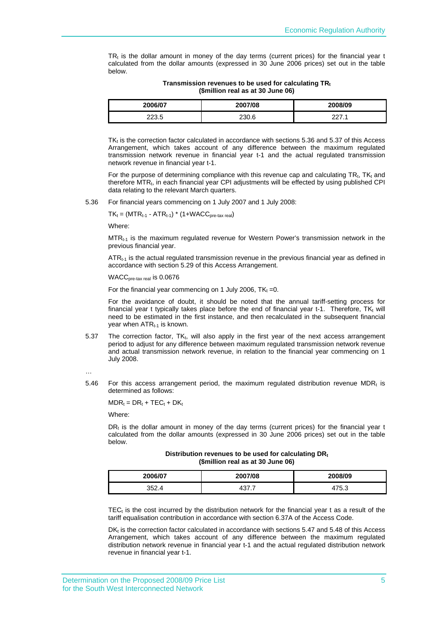$TR<sub>t</sub>$  is the dollar amount in money of the day terms (current prices) for the financial year t calculated from the dollar amounts (expressed in 30 June 2006 prices) set out in the table below.

| Transmission revenues to be used for calculating TR <sub>t</sub><br>(\$million real as at 30 June 06) |  |
|-------------------------------------------------------------------------------------------------------|--|
|                                                                                                       |  |

| 2006/07        | 2007/08 | 2008/09 |
|----------------|---------|---------|
| າາາ ⊏<br>220.0 | 230.6   | .       |

TK<sub>t</sub> is the correction factor calculated in accordance with sections 5.36 and 5.37 of this Access Arrangement, which takes account of any difference between the maximum regulated transmission network revenue in financial year t-1 and the actual regulated transmission network revenue in financial year t-1.

For the purpose of determining compliance with this revenue cap and calculating  $TR<sub>t</sub>$ , TK<sub>t</sub> and therefore MTR<sub>t</sub>, in each financial year CPI adjustments will be effected by using published CPI data relating to the relevant March quarters.

5.36 For financial years commencing on 1 July 2007 and 1 July 2008:

 $TK_t = (MTR_{t-1} - ATR_{t-1}) * (1+WACC_{pre-tax real})$ 

Where:

MTRt-1 is the maximum regulated revenue for Western Power's transmission network in the previous financial year.

 $ATR_{t-1}$  is the actual regulated transmission revenue in the previous financial year as defined in accordance with section 5.29 of this Access Arrangement.

WACC<sub>pre-tax real</sub> is 0.0676

For the financial year commencing on 1 July 2006,  $TK_t = 0$ .

For the avoidance of doubt, it should be noted that the annual tariff-setting process for financial year t typically takes place before the end of financial year t-1. Therefore,  $TK_t$  will need to be estimated in the first instance, and then recalculated in the subsequent financial year when  $ATR_{t-1}$  is known.

5.37 The correction factor, TK<sub>t</sub>, will also apply in the first year of the next access arrangement period to adjust for any difference between maximum regulated transmission network revenue and actual transmission network revenue, in relation to the financial year commencing on 1 July 2008.

5.46 For this access arrangement period, the maximum regulated distribution revenue MDR<sub>t</sub> is determined as follows:

 $MDR_t = DR_t + TEC_t + DK_t$ 

Where:

 $DR<sub>t</sub>$  is the dollar amount in money of the day terms (current prices) for the financial year t calculated from the dollar amounts (expressed in 30 June 2006 prices) set out in the table below.

**Distribution revenues to be used for calculating DR**t **(\$million real as at 30 June 06)** 

| 2006/07 | 2007/08           | 2008/09            |
|---------|-------------------|--------------------|
| 352.4   | $\sim$<br>ו. ו טד | 75<br>£<br>ن. ن ۱+ |

 $TEC<sub>t</sub>$  is the cost incurred by the distribution network for the financial year t as a result of the tariff equalisation contribution in accordance with section 6.37A of the Access Code.

DK<sub>t</sub> is the correction factor calculated in accordance with sections 5.47 and 5.48 of this Access Arrangement, which takes account of any difference between the maximum regulated distribution network revenue in financial year t-1 and the actual regulated distribution network revenue in financial year t-1.

<sup>…</sup>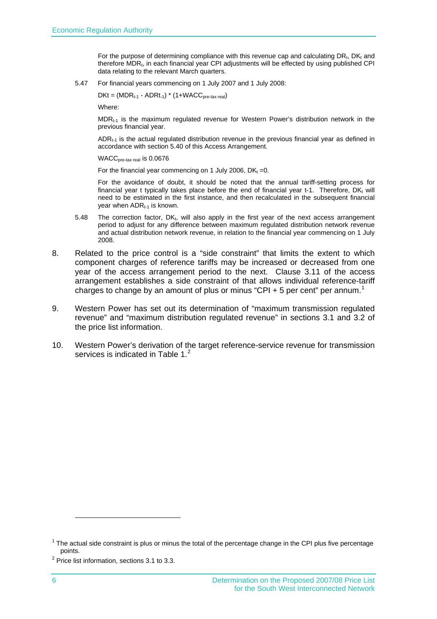For the purpose of determining compliance with this revenue cap and calculating  $DR<sub>t</sub>$ ,  $DK<sub>t</sub>$  and therefore MDRt, in each financial year CPI adjustments will be effected by using published CPI data relating to the relevant March quarters.

5.47 For financial years commencing on 1 July 2007 and 1 July 2008:

 $DKt = (MDR<sub>t-1</sub> - ADRt<sub>-1</sub>) * (1+WACC<sub>pre-tax real</sub>)$ 

Where:

 $MDR<sub>t-1</sub>$  is the maximum regulated revenue for Western Power's distribution network in the previous financial year.

 $ADR_{t-1}$  is the actual regulated distribution revenue in the previous financial year as defined in accordance with section 5.40 of this Access Arrangement.

WACC<sub>pre-tax real</sub> is 0.0676

For the financial year commencing on 1 July 2006,  $DK_t = 0$ .

For the avoidance of doubt, it should be noted that the annual tariff-setting process for financial year t typically takes place before the end of financial year t-1. Therefore,  $DK_t$  will need to be estimated in the first instance, and then recalculated in the subsequent financial year when  $ADR_{t-1}$  is known.

- 5.48 The correction factor,  $DK_t$ , will also apply in the first year of the next access arrangement period to adjust for any difference between maximum regulated distribution network revenue and actual distribution network revenue, in relation to the financial year commencing on 1 July 2008.
- 8. Related to the price control is a "side constraint" that limits the extent to which component charges of reference tariffs may be increased or decreased from one year of the access arrangement period to the next. Clause 3.11 of the access arrangement establishes a side constraint of that allows individual reference-tariff charges to change by an amount of plus or minus "CPI + 5 per cent" per annum.<sup>[1](#page-7-0)</sup>
- 9. Western Power has set out its determination of "maximum transmission regulated revenue" and "maximum distribution regulated revenue" in sections 3.1 and 3.2 of the price list information.
- 10. Western Power's derivation of the target reference-service revenue for transmission services is indicated in [Table 1.](#page-8-1) $^{2}$  $^{2}$  $^{2}$

 $\overline{a}$ 

<span id="page-7-0"></span> $1$  The actual side constraint is plus or minus the total of the percentage change in the CPI plus five percentage points.<br><sup>2</sup> Price list information, sections 3.1 to 3.3.

<span id="page-7-1"></span>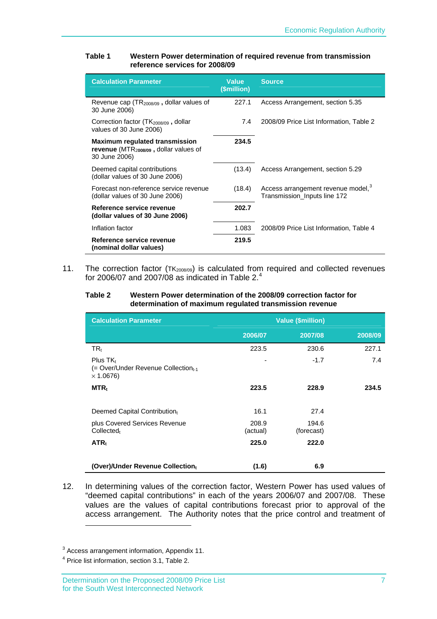#### <span id="page-8-1"></span><span id="page-8-0"></span>**Table 1 Western Power determination of required revenue from transmission reference services for 2008/09**

| <b>Calculation Parameter</b>                                                                       | <b>Value</b><br>(\$million) | <b>Source</b>                                                                  |
|----------------------------------------------------------------------------------------------------|-----------------------------|--------------------------------------------------------------------------------|
| Revenue cap $(TR_{2008/09}$ , dollar values of<br>30 June 2006)                                    | 227.1                       | Access Arrangement, section 5.35                                               |
| Correction factor $(TK_{2008/09}$ , dollar<br>values of 30 June 2006)                              | 7.4                         | 2008/09 Price List Information, Table 2                                        |
| <b>Maximum regulated transmission</b><br>revenue $(MTR2008/09$ , dollar values of<br>30 June 2006) | 234.5                       |                                                                                |
| Deemed capital contributions<br>(dollar values of 30 June 2006)                                    | (13.4)                      | Access Arrangement, section 5.29                                               |
| Forecast non-reference service revenue<br>(dollar values of 30 June 2006)                          | (18.4)                      | Access arrangement revenue model, <sup>3</sup><br>Transmission_Inputs line 172 |
| Reference service revenue<br>(dollar values of 30 June 2006)                                       | 202.7                       |                                                                                |
| Inflation factor                                                                                   | 1.083                       | 2008/09 Price List Information, Table 4                                        |
| Reference service revenue<br>(nominal dollar values)                                               | 219.5                       |                                                                                |

11. The correction factor  $(TK_{2008/09})$  is calculated from required and collected revenues for 2006/07 and 2007/08 as indicated in Table  $2.^4$  $2.^4$ 

#### **Table 2 Western Power determination of the 2008/09 correction factor for determination of maximum regulated transmission revenue**

| <b>Calculation Parameter</b>                                                         | <b>Value (\$million)</b> |                     |         |
|--------------------------------------------------------------------------------------|--------------------------|---------------------|---------|
|                                                                                      | 2006/07                  | 2007/08             | 2008/09 |
| TR,                                                                                  | 223.5                    | 230.6               | 227.1   |
| Plus $TK_t$<br>(= Over/Under Revenue Collection <sub>t-1</sub> )<br>$\times$ 1.0676) |                          | $-1.7$              | 7.4     |
| $MTR_{t}$                                                                            | 223.5                    | 228.9               | 234.5   |
| Deemed Capital Contributiont                                                         | 16.1                     | 27.4                |         |
| plus Covered Services Revenue<br>Collected <sub>t</sub>                              | 208.9<br>(actual)        | 194.6<br>(forecast) |         |
| ATR <sub>t</sub>                                                                     | 225.0                    | 222.0               |         |
| (Over)/Under Revenue Collectiont                                                     | (1.6)                    | 6.9                 |         |

12. In determining values of the correction factor, Western Power has used values of "deemed capital contributions" in each of the years 2006/07 and 2007/08. These values are the values of capital contributions forecast prior to approval of the access arrangement. The Authority notes that the price control and treatment of 

<span id="page-8-2"></span><sup>&</sup>lt;sup>3</sup> Access arrangement information, Appendix 11.

<span id="page-8-3"></span><sup>&</sup>lt;sup>4</sup> Price list information, section 3.1, Table 2.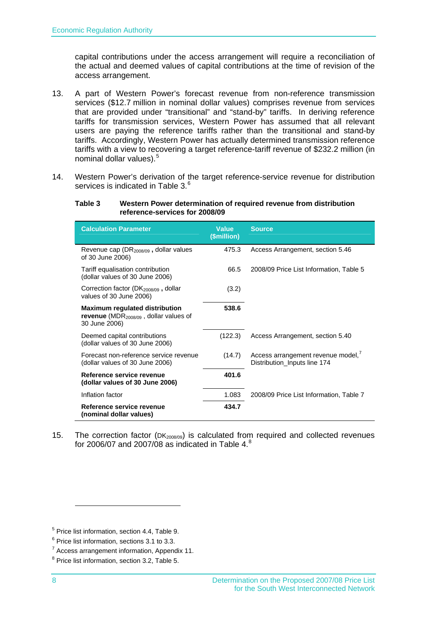<span id="page-9-0"></span>capital contributions under the access arrangement will require a reconciliation of the actual and deemed values of capital contributions at the time of revision of the access arrangement.

- <span id="page-9-6"></span>13. A part of Western Power's forecast revenue from non-reference transmission services (\$12.7 million in nominal dollar values) comprises revenue from services that are provided under "transitional" and "stand-by" tariffs. In deriving reference tariffs for transmission services, Western Power has assumed that all relevant users are paying the reference tariffs rather than the transitional and stand-by tariffs. Accordingly, Western Power has actually determined transmission reference tariffs with a view to recovering a target reference-tariff revenue of \$232.2 million (in nominal dollar values).[5](#page-9-1)
- <span id="page-9-3"></span>14. Western Power's derivation of the target reference-service revenue for distribution services is indicated in [Table 3.](#page-9-3) $^{\rm 6}$  $^{\rm 6}$  $^{\rm 6}$

#### **Table 3 Western Power determination of required revenue from distribution reference-services for 2008/09**

| <b>Calculation Parameter</b>                                                                        | <b>Value</b><br>(\$million) | <b>Source</b>                                                     |
|-----------------------------------------------------------------------------------------------------|-----------------------------|-------------------------------------------------------------------|
| Revenue cap ( $DR2008/09$ , dollar values<br>of 30 June 2006)                                       | 475.3                       | Access Arrangement, section 5.46                                  |
| Tariff equalisation contribution<br>(dollar values of 30 June 2006)                                 | 66.5                        | 2008/09 Price List Information, Table 5                           |
| Correction factor (DK <sub>2008/09</sub> , dollar<br>values of 30 June 2006)                        | (3.2)                       |                                                                   |
| <b>Maximum regulated distribution</b><br>revenue ( $MDR2008/09$ , dollar values of<br>30 June 2006) | 538.6                       |                                                                   |
| Deemed capital contributions<br>(dollar values of 30 June 2006)                                     | (122.3)                     | Access Arrangement, section 5.40                                  |
| Forecast non-reference service revenue<br>(dollar values of 30 June 2006)                           | (14.7)                      | Access arrangement revenue model,<br>Distribution Inputs line 174 |
| Reference service revenue<br>(dollar values of 30 June 2006)                                        | 401.6                       |                                                                   |
| Inflation factor                                                                                    | 1.083                       | 2008/09 Price List Information, Table 7                           |
| Reference service revenue<br>(nominal dollar values)                                                | 434.7                       |                                                                   |

15. The correction factor (DK<sub>2008/09</sub>) is calculated from required and collected revenues for 2006/07 and 2007/08 as indicated in [Table 4](#page-10-1). $^8$  $^8$ 

<span id="page-9-1"></span> $^5$  Price list information, section 4.4, Table 9.<br> $^6$  Price list information, sections 3.4 to 3.3.

<span id="page-9-2"></span> $6$  Price list information, sections 3.1 to 3.3.

<span id="page-9-4"></span> $7$  Access arrangement information, Appendix 11.

<span id="page-9-5"></span><sup>&</sup>lt;sup>8</sup> Price list information, section 3.2, Table 5.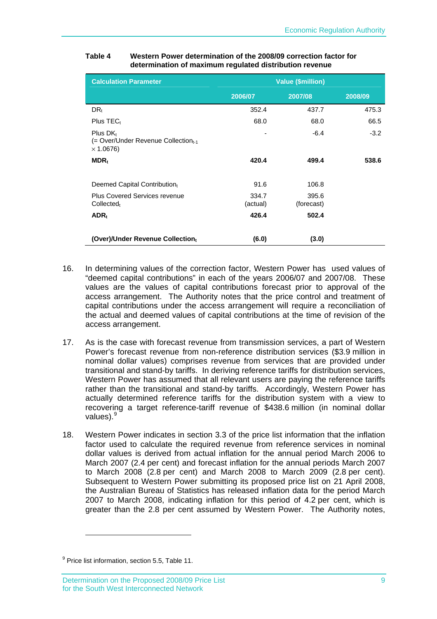| <b>Calculation Parameter</b>                                                                  | <b>Value (\$million)</b> |                     |         |
|-----------------------------------------------------------------------------------------------|--------------------------|---------------------|---------|
|                                                                                               | 2006/07                  | 2007/08             | 2008/09 |
| DR <sub>t</sub>                                                                               | 352.4                    | 437.7               | 475.3   |
| Plus $TECt$                                                                                   | 68.0                     | 68.0                | 66.5    |
| Plus DK <sub>t</sub><br>(= Over/Under Revenue Collection <sub>t-1</sub> )<br>$\times$ 1.0676) |                          | $-6.4$              | $-3.2$  |
| $MDR_t$                                                                                       | 420.4                    | 499.4               | 538.6   |
|                                                                                               |                          |                     |         |
| Deemed Capital Contribution                                                                   | 91.6                     | 106.8               |         |
| <b>Plus Covered Services revenue</b><br>$Collected_t$                                         | 334.7<br>(actual)        | 395.6<br>(forecast) |         |
| $ADR_t$                                                                                       | 426.4                    | 502.4               |         |
| (Over)/Under Revenue Collectiont                                                              | (6.0)                    | (3.0)               |         |

#### <span id="page-10-1"></span><span id="page-10-0"></span>**Table 4 Western Power determination of the 2008/09 correction factor for determination of maximum regulated distribution revenue**

- 16. In determining values of the correction factor, Western Power has used values of "deemed capital contributions" in each of the years 2006/07 and 2007/08. These values are the values of capital contributions forecast prior to approval of the access arrangement. The Authority notes that the price control and treatment of capital contributions under the access arrangement will require a reconciliation of the actual and deemed values of capital contributions at the time of revision of the access arrangement.
- <span id="page-10-3"></span>17. As is the case with forecast revenue from transmission services, a part of Western Power's forecast revenue from non-reference distribution services (\$3.9 million in nominal dollar values) comprises revenue from services that are provided under transitional and stand-by tariffs. In deriving reference tariffs for distribution services, Western Power has assumed that all relevant users are paying the reference tariffs rather than the transitional and stand-by tariffs. Accordingly, Western Power has actually determined reference tariffs for the distribution system with a view to recovering a target reference-tariff revenue of \$438.6 million (in nominal dollar values).<sup>[9](#page-10-2)</sup>
- 18. Western Power indicates in section 3.3 of the price list information that the inflation factor used to calculate the required revenue from reference services in nominal dollar values is derived from actual inflation for the annual period March 2006 to March 2007 (2.4 per cent) and forecast inflation for the annual periods March 2007 to March 2008 (2.8 per cent) and March 2008 to March 2009 (2.8 per cent). Subsequent to Western Power submitting its proposed price list on 21 April 2008, the Australian Bureau of Statistics has released inflation data for the period March 2007 to March 2008, indicating inflation for this period of 4.2 per cent, which is greater than the 2.8 per cent assumed by Western Power. The Authority notes,

 $\overline{a}$ 

<span id="page-10-2"></span><sup>&</sup>lt;sup>9</sup> Price list information, section 5.5, Table 11.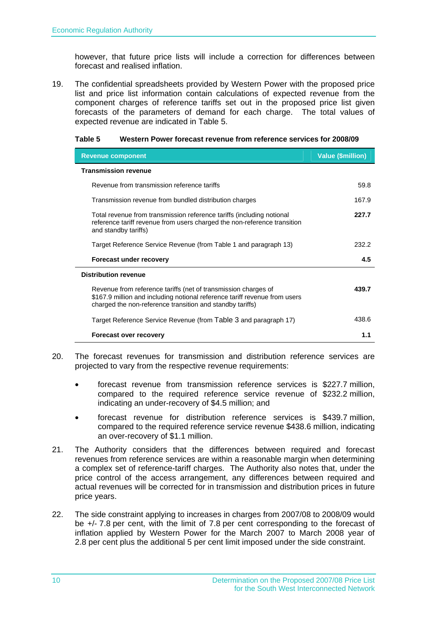<span id="page-11-0"></span>however, that future price lists will include a correction for differences between forecast and realised inflation.

19. The confidential spreadsheets provided by Western Power with the proposed price list and price list information contain calculations of expected revenue from the component charges of reference tariffs set out in the proposed price list given forecasts of the parameters of demand for each charge. The total values of expected revenue are indicated in [Table 5.](#page-11-1)

| <b>Revenue component</b>                                                                                                                                                                                  | <b>Value (\$million)</b> |
|-----------------------------------------------------------------------------------------------------------------------------------------------------------------------------------------------------------|--------------------------|
| <b>Transmission revenue</b>                                                                                                                                                                               |                          |
| Revenue from transmission reference tariffs                                                                                                                                                               | 59.8                     |
| Transmission revenue from bundled distribution charges                                                                                                                                                    | 167.9                    |
| Total revenue from transmission reference tariffs (including notional<br>reference tariff revenue from users charged the non-reference transition<br>and standby tariffs)                                 | 227.7                    |
| Target Reference Service Revenue (from Table 1 and paragraph 13)                                                                                                                                          | 232.2                    |
| <b>Forecast under recovery</b>                                                                                                                                                                            | 4.5                      |
| <b>Distribution revenue</b>                                                                                                                                                                               |                          |
| Revenue from reference tariffs (net of transmission charges of<br>\$167.9 million and including notional reference tariff revenue from users<br>charged the non-reference transition and standby tariffs) | 439.7                    |
| Target Reference Service Revenue (from Table 3 and paragraph 17)                                                                                                                                          | 438.6                    |

<span id="page-11-1"></span>

|  | Table 5 | Western Power forecast revenue from reference services for 2008/09 |
|--|---------|--------------------------------------------------------------------|
|--|---------|--------------------------------------------------------------------|

- 20. The forecast revenues for transmission and distribution reference services are projected to vary from the respective revenue requirements:
	- forecast revenue from transmission reference services is \$227.7 million, compared to the required reference service revenue of \$232.2 million, indicating an under-recovery of \$4.5 million; and

**Forecast over recovery 1.1** 

- forecast revenue for distribution reference services is \$439.7 million, compared to the required reference service revenue \$438.6 million, indicating an over-recovery of \$1.1 million.
- 21. The Authority considers that the differences between required and forecast revenues from reference services are within a reasonable margin when determining a complex set of reference-tariff charges. The Authority also notes that, under the price control of the access arrangement, any differences between required and actual revenues will be corrected for in transmission and distribution prices in future price years.
- 22. The side constraint applying to increases in charges from 2007/08 to 2008/09 would be +/- 7.8 per cent, with the limit of 7.8 per cent corresponding to the forecast of inflation applied by Western Power for the March 2007 to March 2008 year of 2.8 per cent plus the additional 5 per cent limit imposed under the side constraint.